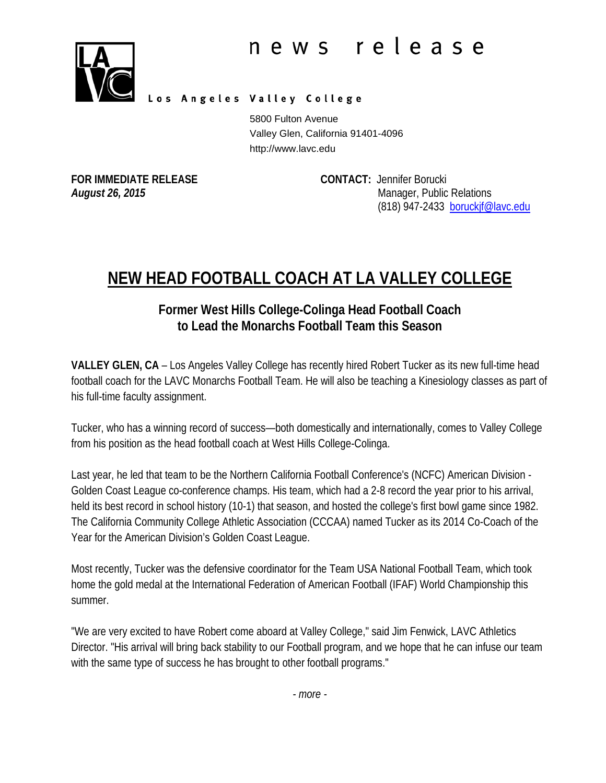

Los Angeles Valley College

5800 Fulton Avenue Valley Glen, California 91401-4096 http://www.lavc.edu

**FOR IMMEDIATE RELEASE CONTACT:** Jennifer Borucki *August 26, 2015* Manager, Public Relations (818) 947-2433 [boruckjf@lavc.edu](mailto:boruckjf@lavc.edu)

## **NEW HEAD FOOTBALL COACH AT LA VALLEY COLLEGE**

## **Former West Hills College-Colinga Head Football Coach to Lead the Monarchs Football Team this Season**

**VALLEY GLEN, CA** – Los Angeles Valley College has recently hired Robert Tucker as its new full-time head football coach for the LAVC Monarchs Football Team. He will also be teaching a Kinesiology classes as part of his full-time faculty assignment.

Tucker, who has a winning record of success—both domestically and internationally, comes to Valley College from his position as the head football coach at West Hills College-Colinga.

Last year, he led that team to be the Northern California Football Conference's (NCFC) American Division - Golden Coast League co-conference champs. His team, which had a 2-8 record the year prior to his arrival, held its best record in school history (10-1) that season, and hosted the college's first bowl game since 1982. The California Community College Athletic Association (CCCAA) named Tucker as its 2014 Co-Coach of the Year for the American Division's Golden Coast League.

Most recently, Tucker was the defensive coordinator for the Team USA National Football Team, which took home the gold medal at the International Federation of American Football (IFAF) World Championship this summer.

"We are very excited to have Robert come aboard at Valley College," said Jim Fenwick, LAVC Athletics Director. "His arrival will bring back stability to our Football program, and we hope that he can infuse our team with the same type of success he has brought to other football programs."

*- more -*